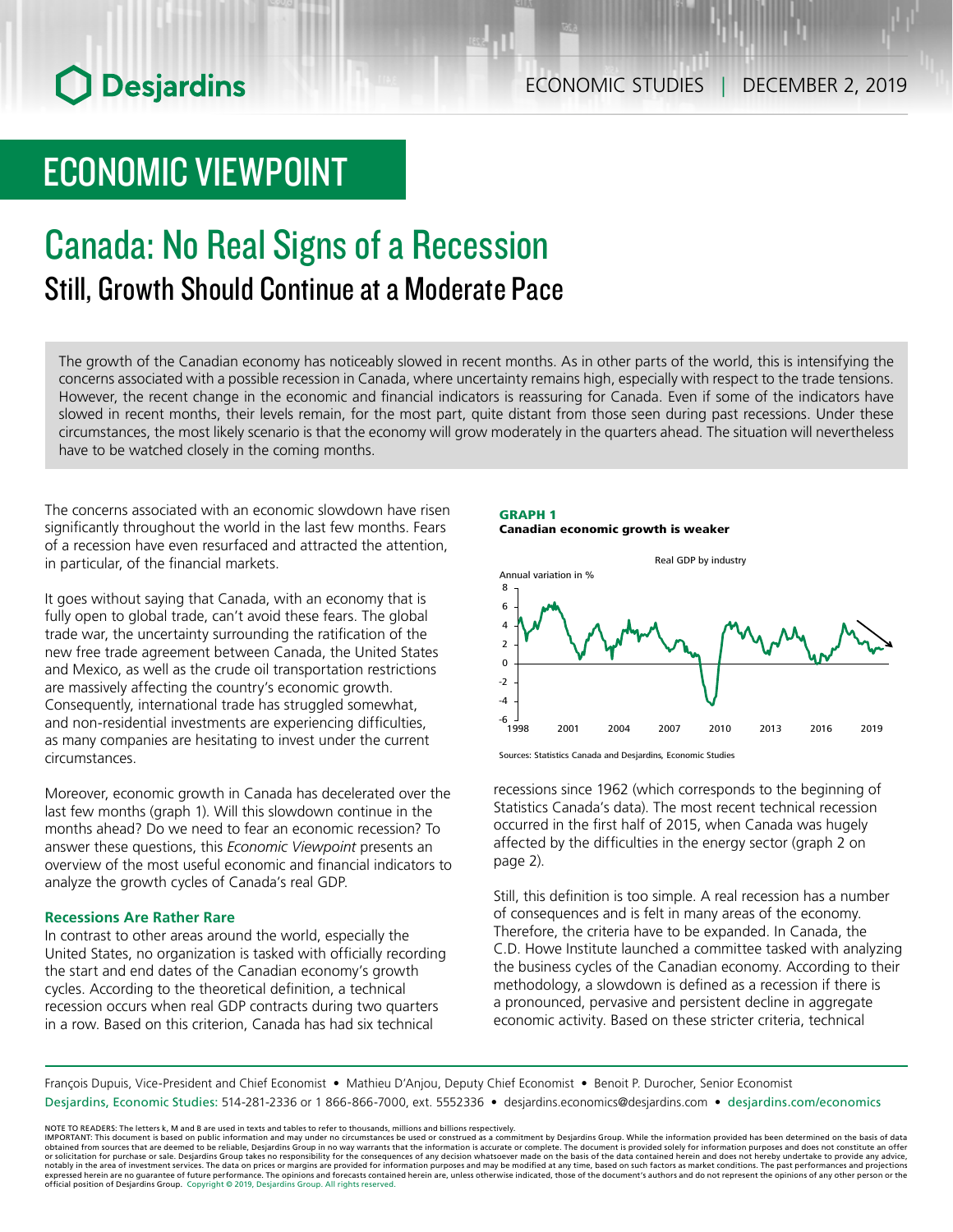# **O** Desjardins

## ECONOMIC VIEWPOINT

### Canada: No Real Signs of a Recession Still, Growth Should Continue at a Moderate Pace

The growth of the Canadian economy has noticeably slowed in recent months. As in other parts of the world, this is intensifying the concerns associated with a possible recession in Canada, where uncertainty remains high, especially with respect to the trade tensions. However, the recent change in the economic and financial indicators is reassuring for Canada. Even if some of the indicators have slowed in recent months, their levels remain, for the most part, quite distant from those seen during past recessions. Under these circumstances, the most likely scenario is that the economy will grow moderately in the quarters ahead. The situation will nevertheless have to be watched closely in the coming months.

The concerns associated with an economic slowdown have risen significantly throughout the world in the last few months. Fears of a recession have even resurfaced and attracted the attention, in particular, of the financial markets.

It goes without saying that Canada, with an economy that is fully open to global trade, can't avoid these fears. The global trade war, the uncertainty surrounding the ratification of the new free trade agreement between Canada, the United States and Mexico, as well as the crude oil transportation restrictions are massively affecting the country's economic growth. Consequently, international trade has struggled somewhat, and non-residential investments are experiencing difficulties, as many companies are hesitating to invest under the current circumstances.

Moreover, economic growth in Canada has decelerated over the last few months (graph 1). Will this slowdown continue in the months ahead? Do we need to fear an economic recession? To answer these questions, this *Economic Viewpoint* presents an overview of the most useful economic and financial indicators to analyze the growth cycles of Canada's real GDP.

#### **Recessions Are Rather Rare**

In contrast to other areas around the world, especially the United States, no organization is tasked with officially recording the start and end dates of the Canadian economy's growth cycles. According to the theoretical definition, a technical recession occurs when real GDP contracts during two quarters in a row. Based on this criterion, Canada has had six technical

#### GRAPH 1 Canadian economic growth is weaker



Sources: Statistics Canada and Desjardins, Economic Studies

recessions since 1962 (which corresponds to the beginning of Statistics Canada's data). The most recent technical recession occurred in the first half of 2015, when Canada was hugely affected by the difficulties in the energy sector (graph 2 on page 2).

Still, this definition is too simple. A real recession has a number of consequences and is felt in many areas of the economy. Therefore, the criteria have to be expanded. In Canada, the C.D. Howe Institute launched a committee tasked with analyzing the business cycles of the Canadian economy. According to their methodology, a slowdown is defined as a recession if there is a pronounced, pervasive and persistent decline in aggregate economic activity. Based on these stricter criteria, technical

François Dupuis, Vice-President and Chief Economist • Mathieu D'Anjou, Deputy Chief Economist • Benoit P. Durocher, Senior Economist Desjardins, Economic Studies: 514-281-2336 or 1 866-866-7000, ext. 5552336 • desjardins.economics@desjardins.com • [desjardins.com/economics](http://desjardins.com/economics)

NOTE TO READERS: The letters k, M and B are used in texts and tables to refer to thousands, millions and billions respectively.<br>IMPORTANT: This document is based on public information and may under no circumstances be used obtained from sources that are deemed to be reliable, Desjardins Group in no way warrants that the information is accurate or complete. The document is provided solely for information purposes and does not constitute an of expressed herein are no guarantee of future performance. The opinions and forecasts contained herein are, unless otherwise indicated, those of the document's authors and do not represent the opinions of any other person or official position of Desjardins Group. Copyright © 2019, Desjardins Group. All rights reserved.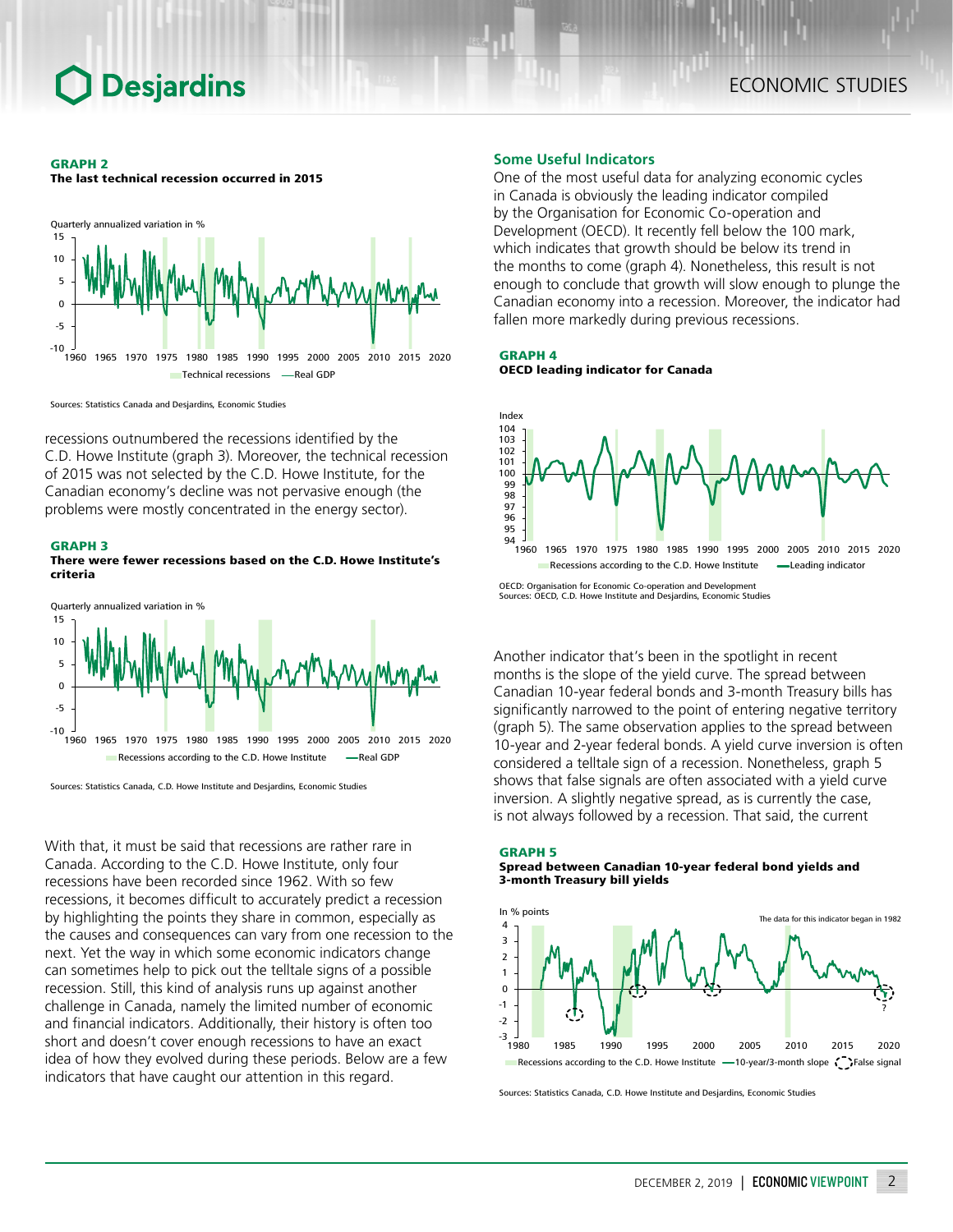#### GRAPH 2

The last technical recession occurred in 2015



Sources: Statistics Canada and Desjardins, Economic Studies

recessions outnumbered the recessions identified by the C.D. Howe Institute (graph 3). Moreover, the technical recession of 2015 was not selected by the C.D. Howe Institute, for the Canadian economy's decline was not pervasive enough (the problems were mostly concentrated in the energy sector).

#### GRAPH 3

#### There were fewer recessions based on the C.D. Howe Institute's criteria



Sources: Statistics Canada, C.D. Howe Institute and Desjardins, Economic Studies

With that, it must be said that recessions are rather rare in Canada. According to the C.D. Howe Institute, only four recessions have been recorded since 1962. With so few recessions, it becomes difficult to accurately predict a recession by highlighting the points they share in common, especially as the causes and consequences can vary from one recession to the next. Yet the way in which some economic indicators change can sometimes help to pick out the telltale signs of a possible recession. Still, this kind of analysis runs up against another challenge in Canada, namely the limited number of economic and financial indicators. Additionally, their history is often too short and doesn't cover enough recessions to have an exact idea of how they evolved during these periods. Below are a few indicators that have caught our attention in this regard.

#### **Some Useful Indicators**

One of the most useful data for analyzing economic cycles in Canada is obviously the leading indicator compiled by the Organisation for Economic Co-operation and Development (OECD). It recently fell below the 100 mark, which indicates that growth should be below its trend in the months to come (graph 4). Nonetheless, this result is not enough to conclude that growth will slow enough to plunge the Canadian economy into a recession. Moreover, the indicator had fallen more markedly during previous recessions.

GRAPH 4 OECD leading indicator for Canada



Another indicator that's been in the spotlight in recent months is the slope of the yield curve. The spread between Canadian 10-year federal bonds and 3-month Treasury bills has significantly narrowed to the point of entering negative territory (graph 5). The same observation applies to the spread between 10-year and 2-year federal bonds. A yield curve inversion is often considered a telltale sign of a recession. Nonetheless, graph 5 shows that false signals are often associated with a yield curve inversion. A slightly negative spread, as is currently the case, is not always followed by a recession. That said, the current

GRAPH 5

Spread between Canadian 10-year federal bond yields and 3-month Treasury bill yields



Sources: Statistics Canada, C.D. Howe Institute and Desjardins, Economic Studies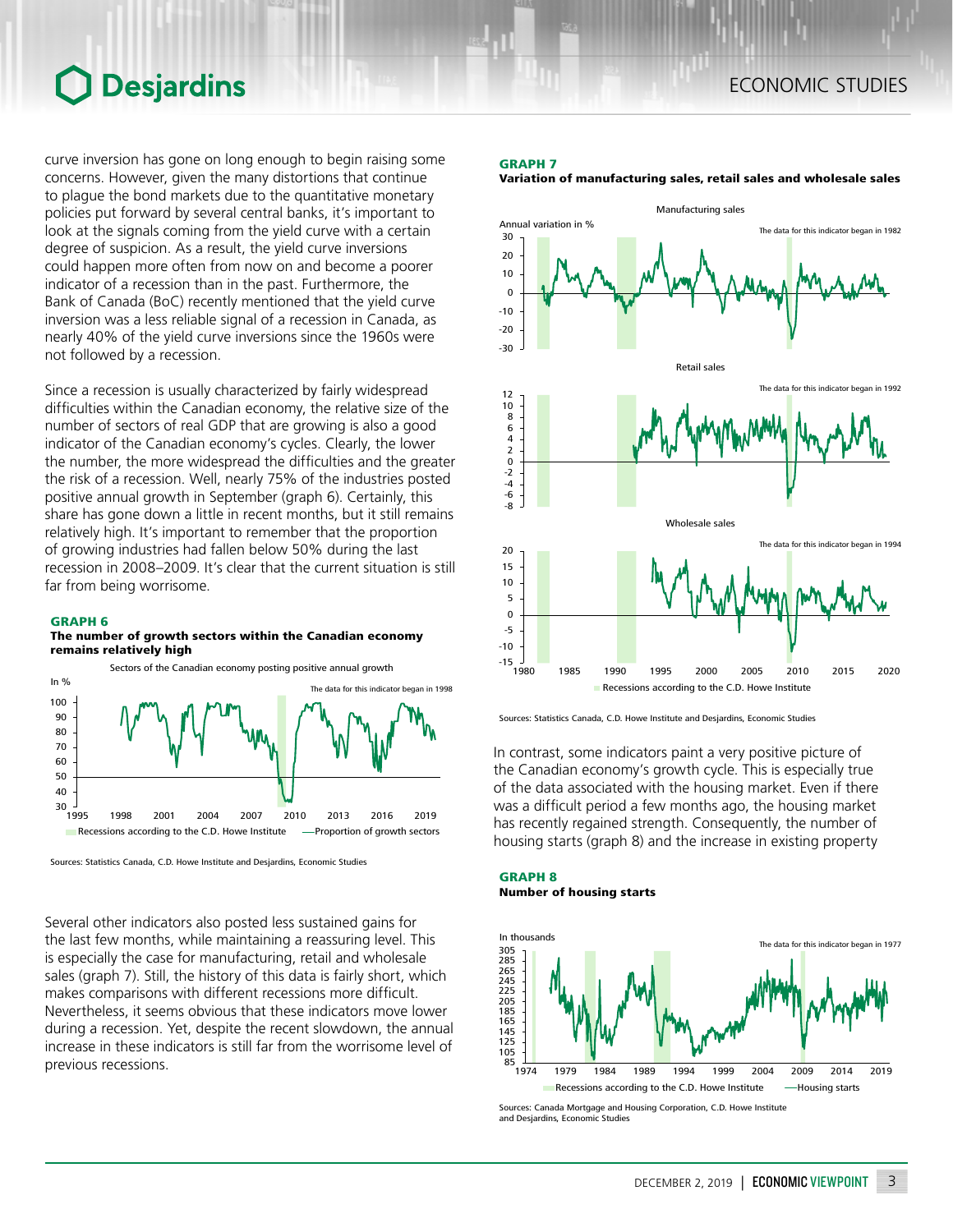### ECONOMIC STUDIES

### **Desjardins**

curve inversion has gone on long enough to begin raising some concerns. However, given the many distortions that continue to plague the bond markets due to the quantitative monetary policies put forward by several central banks, it's important to look at the signals coming from the yield curve with a certain degree of suspicion. As a result, the yield curve inversions could happen more often from now on and become a poorer indicator of a recession than in the past. Furthermore, the Bank of Canada (BoC) recently mentioned that the yield curve inversion was a less reliable signal of a recession in Canada, as nearly 40% of the yield curve inversions since the 1960s were not followed by a recession.

Since a recession is usually characterized by fairly widespread difficulties within the Canadian economy, the relative size of the number of sectors of real GDP that are growing is also a good indicator of the Canadian economy's cycles. Clearly, the lower the number, the more widespread the difficulties and the greater the risk of a recession. Well, nearly 75% of the industries posted positive annual growth in September (graph 6). Certainly, this share has gone down a little in recent months, but it still remains relatively high. It's important to remember that the proportion of growing industries had fallen below 50% during the last recession in 2008–2009. It's clear that the current situation is still far from being worrisome.

#### GRAPH 6

#### The number of growth sectors within the Canadian economy remains relatively high



Sources: Statistics Canada, C.D. Howe Institute and Desjardins, Economic Studies

Several other indicators also posted less sustained gains for the last few months, while maintaining a reassuring level. This is especially the case for manufacturing, retail and wholesale sales (graph 7). Still, the history of this data is fairly short, which makes comparisons with different recessions more difficult. Nevertheless, it seems obvious that these indicators move lower during a recession. Yet, despite the recent slowdown, the annual increase in these indicators is still far from the worrisome level of previous recessions.

#### GRAPH 7

#### Variation of manufacturing sales, retail sales and wholesale sales



Sources: Statistics Canada, C.D. Howe Institute and Desjardins, Economic Studies

In contrast, some indicators paint a very positive picture of the Canadian economy's growth cycle. This is especially true of the data associated with the housing market. Even if there was a difficult period a few months ago, the housing market has recently regained strength. Consequently, the number of housing starts (graph 8) and the increase in existing property

#### GRAPH 8 Number of housing starts



Sources: Canada Mortgage and Housing Corporation, C.D. Howe Institute and Desjardins, Economic Studies